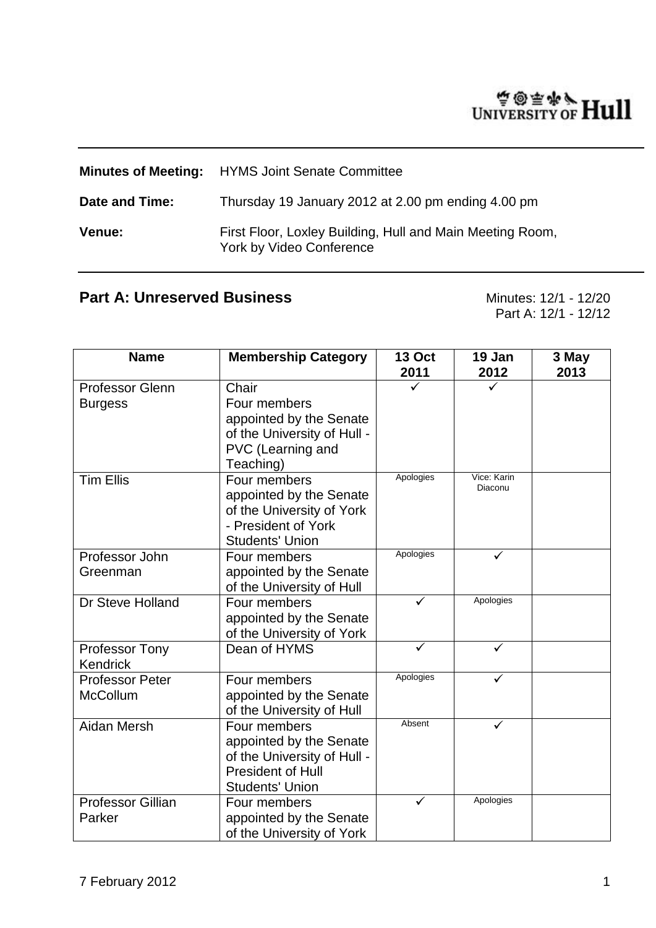# WINTERSITY OF Hull

|                | <b>Minutes of Meeting:</b> HYMS Joint Senate Committee                                |  |
|----------------|---------------------------------------------------------------------------------------|--|
| Date and Time: | Thursday 19 January 2012 at 2.00 pm ending 4.00 pm                                    |  |
| <b>Venue:</b>  | First Floor, Loxley Building, Hull and Main Meeting Room,<br>York by Video Conference |  |

# **Part A: Unreserved Business** Minutes: 12/1 - 12/20

Part A: 12/1 - 12/12

| <b>Name</b>                              | <b>Membership Category</b>                                                                                                   | <b>13 Oct</b><br>2011 | 19 Jan<br>2012         | 3 May<br>2013 |
|------------------------------------------|------------------------------------------------------------------------------------------------------------------------------|-----------------------|------------------------|---------------|
| <b>Professor Glenn</b><br><b>Burgess</b> | Chair<br>Four members<br>appointed by the Senate<br>of the University of Hull -<br>PVC (Learning and<br>Teaching)            |                       |                        |               |
| <b>Tim Ellis</b>                         | Four members<br>appointed by the Senate<br>of the University of York<br>- President of York<br><b>Students' Union</b>        | Apologies             | Vice: Karin<br>Diaconu |               |
| Professor John<br>Greenman               | Four members<br>appointed by the Senate<br>of the University of Hull                                                         | Apologies             | ✓                      |               |
| Dr Steve Holland                         | Four members<br>appointed by the Senate<br>of the University of York                                                         | ✓                     | Apologies              |               |
| Professor Tony<br><b>Kendrick</b>        | Dean of HYMS                                                                                                                 | ✓                     | ✓                      |               |
| <b>Professor Peter</b><br>McCollum       | Four members<br>appointed by the Senate<br>of the University of Hull                                                         | Apologies             |                        |               |
| Aidan Mersh                              | Four members<br>appointed by the Senate<br>of the University of Hull -<br><b>President of Hull</b><br><b>Students' Union</b> | Absent                |                        |               |
| Professor Gillian<br>Parker              | Four members<br>appointed by the Senate<br>of the University of York                                                         | ✓                     | Apologies              |               |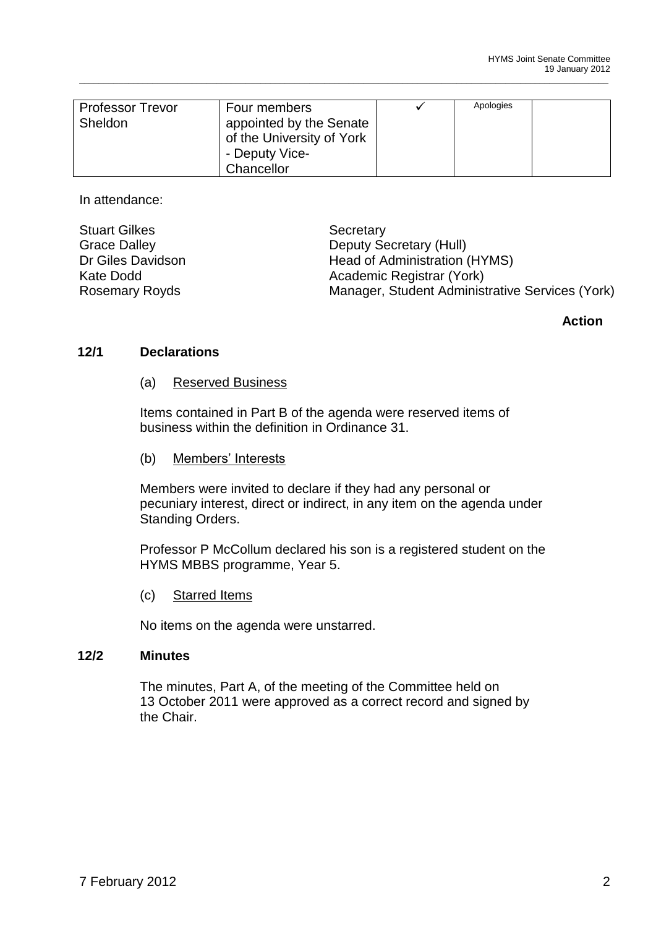| <b>Professor Trevor</b><br>Sheldon | Four members<br>appointed by the Senate<br>of the University of York | Apologies |  |
|------------------------------------|----------------------------------------------------------------------|-----------|--|
|                                    | - Deputy Vice-                                                       |           |  |
|                                    | Chancellor                                                           |           |  |

\_\_\_\_\_\_\_\_\_\_\_\_\_\_\_\_\_\_\_\_\_\_\_\_\_\_\_\_\_\_\_\_\_\_\_\_\_\_\_\_\_\_\_\_\_\_\_\_\_\_\_\_\_\_\_\_\_\_\_\_\_\_\_\_\_\_\_\_\_\_\_\_\_\_\_\_\_\_\_\_\_\_\_\_\_\_\_\_\_\_\_\_\_\_\_\_\_\_\_\_\_\_\_\_\_\_\_\_

In attendance:

| <b>Stuart Gilkes</b>  | Secretary                                       |
|-----------------------|-------------------------------------------------|
| <b>Grace Dalley</b>   | Deputy Secretary (Hull)                         |
| Dr Giles Davidson     | Head of Administration (HYMS)                   |
| Kate Dodd             | Academic Registrar (York)                       |
| <b>Rosemary Royds</b> | Manager, Student Administrative Services (York) |

# **Action**

#### **12/1 Declarations**

(a) Reserved Business

Items contained in Part B of the agenda were reserved items of business within the definition in Ordinance 31.

(b) Members' Interests

Members were invited to declare if they had any personal or pecuniary interest, direct or indirect, in any item on the agenda under Standing Orders.

Professor P McCollum declared his son is a registered student on the HYMS MBBS programme, Year 5.

(c) Starred Items

No items on the agenda were unstarred.

#### **12/2 Minutes**

The minutes, Part A, of the meeting of the Committee held on 13 October 2011 were approved as a correct record and signed by the Chair.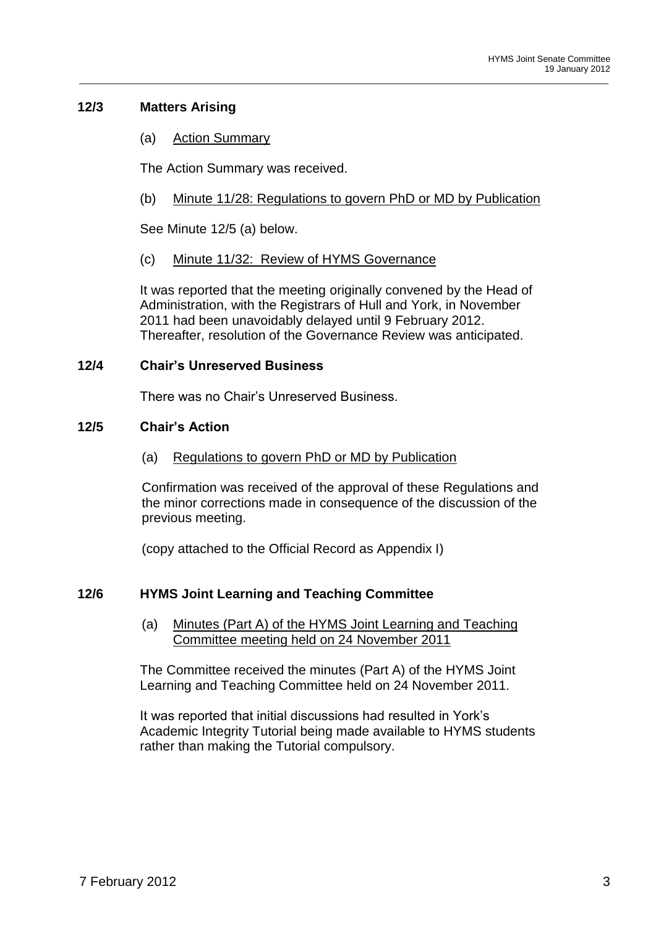# **12/3 Matters Arising**

(a) Action Summary

The Action Summary was received.

(b) Minute 11/28: Regulations to govern PhD or MD by Publication

\_\_\_\_\_\_\_\_\_\_\_\_\_\_\_\_\_\_\_\_\_\_\_\_\_\_\_\_\_\_\_\_\_\_\_\_\_\_\_\_\_\_\_\_\_\_\_\_\_\_\_\_\_\_\_\_\_\_\_\_\_\_\_\_\_\_\_\_\_\_\_\_\_\_\_\_\_\_\_\_\_\_\_\_\_\_\_\_\_\_\_\_\_\_\_\_\_\_\_\_\_\_\_\_\_\_\_\_

See Minute 12/5 (a) below.

#### (c) Minute 11/32: Review of HYMS Governance

It was reported that the meeting originally convened by the Head of Administration, with the Registrars of Hull and York, in November 2011 had been unavoidably delayed until 9 February 2012. Thereafter, resolution of the Governance Review was anticipated.

#### **12/4 Chair's Unreserved Business**

There was no Chair's Unreserved Business.

#### **12/5 Chair's Action**

(a) Regulations to govern PhD or MD by Publication

Confirmation was received of the approval of these Regulations and the minor corrections made in consequence of the discussion of the previous meeting.

(copy attached to the Official Record as Appendix I)

# **12/6 HYMS Joint Learning and Teaching Committee**

(a) Minutes (Part A) of the HYMS Joint Learning and Teaching Committee meeting held on 24 November 2011

The Committee received the minutes (Part A) of the HYMS Joint Learning and Teaching Committee held on 24 November 2011.

It was reported that initial discussions had resulted in York's Academic Integrity Tutorial being made available to HYMS students rather than making the Tutorial compulsory.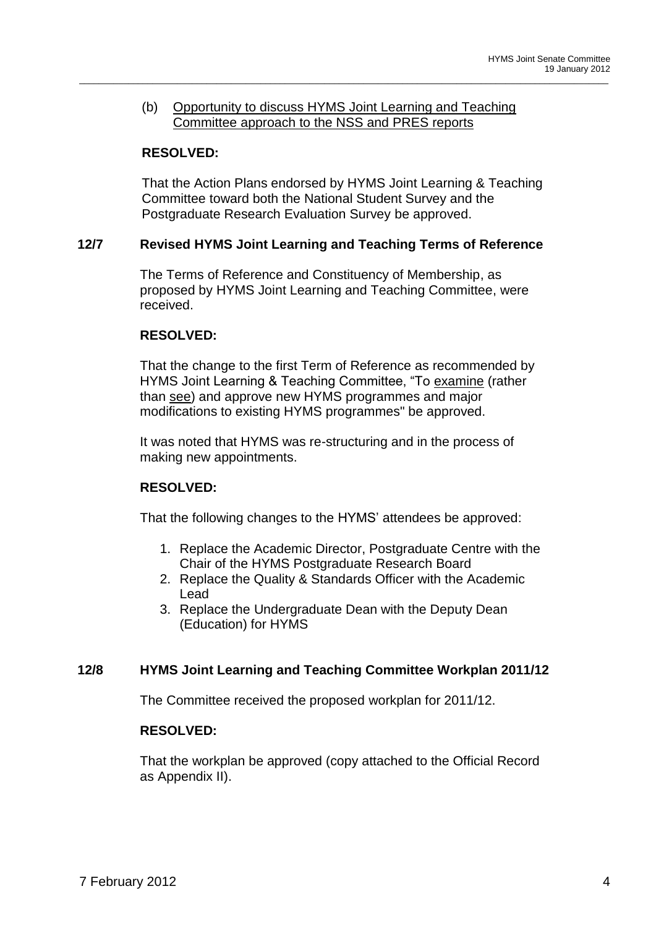#### (b) Opportunity to discuss HYMS Joint Learning and Teaching Committee approach to the NSS and PRES reports

\_\_\_\_\_\_\_\_\_\_\_\_\_\_\_\_\_\_\_\_\_\_\_\_\_\_\_\_\_\_\_\_\_\_\_\_\_\_\_\_\_\_\_\_\_\_\_\_\_\_\_\_\_\_\_\_\_\_\_\_\_\_\_\_\_\_\_\_\_\_\_\_\_\_\_\_\_\_\_\_\_\_\_\_\_\_\_\_\_\_\_\_\_\_\_\_\_\_\_\_\_\_\_\_\_\_\_\_

# **RESOLVED:**

That the Action Plans endorsed by HYMS Joint Learning & Teaching Committee toward both the National Student Survey and the Postgraduate Research Evaluation Survey be approved.

# **12/7 Revised HYMS Joint Learning and Teaching Terms of Reference**

The Terms of Reference and Constituency of Membership, as proposed by HYMS Joint Learning and Teaching Committee, were received.

# **RESOLVED:**

That the change to the first Term of Reference as recommended by HYMS Joint Learning & Teaching Committee, "To examine (rather than see) and approve new HYMS programmes and major modifications to existing HYMS programmes" be approved.

It was noted that HYMS was re-structuring and in the process of making new appointments.

# **RESOLVED:**

That the following changes to the HYMS' attendees be approved:

- 1. Replace the Academic Director, Postgraduate Centre with the Chair of the HYMS Postgraduate Research Board
- 2. Replace the Quality & Standards Officer with the Academic Lead
- 3. Replace the Undergraduate Dean with the Deputy Dean (Education) for HYMS

# **12/8 HYMS Joint Learning and Teaching Committee Workplan 2011/12**

The Committee received the proposed workplan for 2011/12.

# **RESOLVED:**

That the workplan be approved (copy attached to the Official Record as Appendix II).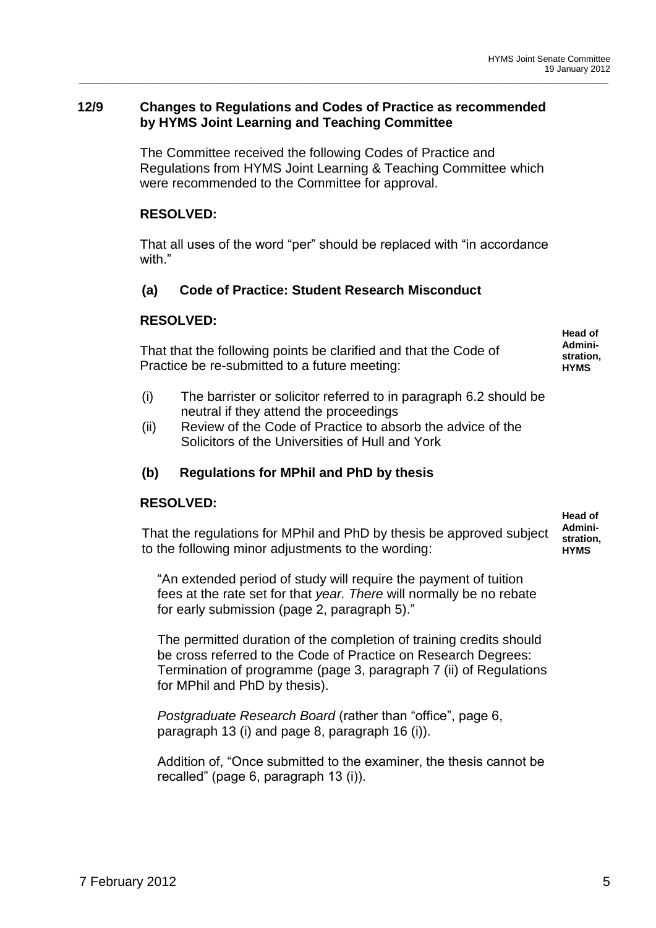# **12/9 Changes to Regulations and Codes of Practice as recommended by HYMS Joint Learning and Teaching Committee**

The Committee received the following Codes of Practice and Regulations from HYMS Joint Learning & Teaching Committee which were recommended to the Committee for approval.

\_\_\_\_\_\_\_\_\_\_\_\_\_\_\_\_\_\_\_\_\_\_\_\_\_\_\_\_\_\_\_\_\_\_\_\_\_\_\_\_\_\_\_\_\_\_\_\_\_\_\_\_\_\_\_\_\_\_\_\_\_\_\_\_\_\_\_\_\_\_\_\_\_\_\_\_\_\_\_\_\_\_\_\_\_\_\_\_\_\_\_\_\_\_\_\_\_\_\_\_\_\_\_\_\_\_\_\_

# **RESOLVED:**

That all uses of the word "per" should be replaced with "in accordance with."

# **(a) Code of Practice: Student Research Misconduct**

#### **RESOLVED:**

| That that the following points be clarified and that the Code of |  |
|------------------------------------------------------------------|--|
| Practice be re-submitted to a future meeting:                    |  |

**Head of Administration, HYMS**

**Head of** 

- (i) The barrister or solicitor referred to in paragraph 6.2 should be neutral if they attend the proceedings
- (ii) Review of the Code of Practice to absorb the advice of the Solicitors of the Universities of Hull and York

# **(b) Regulations for MPhil and PhD by thesis**

# **RESOLVED:**

That the regulations for MPhil and PhD by thesis be approved subject to the following minor adjustments to the wording: **Administration, HYMS**

"An extended period of study will require the payment of tuition fees at the rate set for that *year. There* will normally be no rebate for early submission (page 2, paragraph 5)."

The permitted duration of the completion of training credits should be cross referred to the Code of Practice on Research Degrees: Termination of programme (page 3, paragraph 7 (ii) of Regulations for MPhil and PhD by thesis).

*Postgraduate Research Board* (rather than "office", page 6, paragraph 13 (i) and page 8, paragraph 16 (i)).

Addition of, "Once submitted to the examiner, the thesis cannot be recalled" (page 6, paragraph 13 (i)).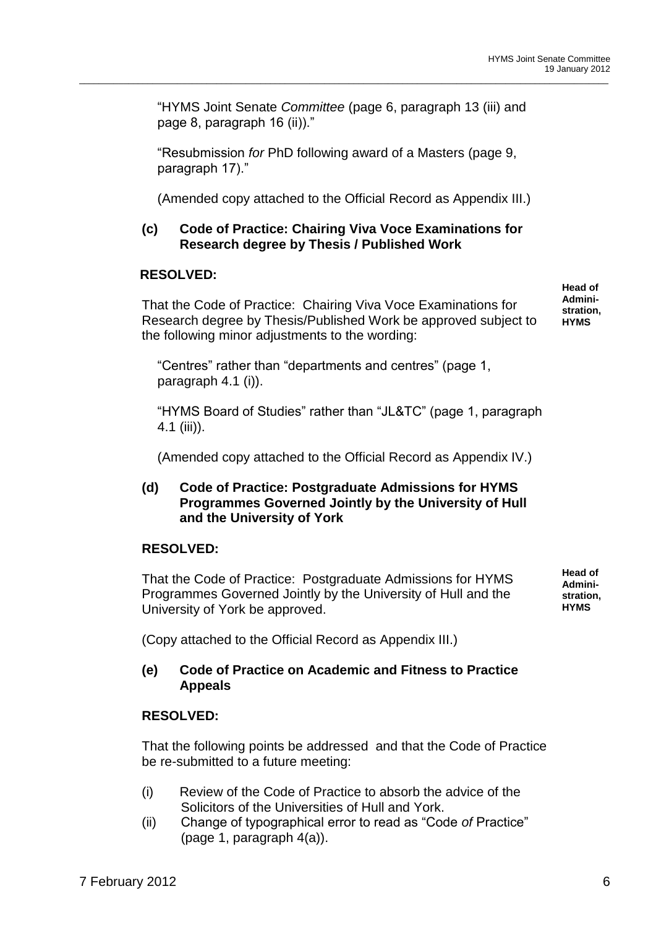"HYMS Joint Senate *Committee* (page 6, paragraph 13 (iii) and page 8, paragraph 16 (ii))."

\_\_\_\_\_\_\_\_\_\_\_\_\_\_\_\_\_\_\_\_\_\_\_\_\_\_\_\_\_\_\_\_\_\_\_\_\_\_\_\_\_\_\_\_\_\_\_\_\_\_\_\_\_\_\_\_\_\_\_\_\_\_\_\_\_\_\_\_\_\_\_\_\_\_\_\_\_\_\_\_\_\_\_\_\_\_\_\_\_\_\_\_\_\_\_\_\_\_\_\_\_\_\_\_\_\_\_\_

"Resubmission *for* PhD following award of a Masters (page 9, paragraph 17)."

(Amended copy attached to the Official Record as Appendix III.)

# **(c) Code of Practice: Chairing Viva Voce Examinations for Research degree by Thesis / Published Work**

#### **RESOLVED:**

That the Code of Practice: Chairing Viva Voce Examinations for Research degree by Thesis/Published Work be approved subject to the following minor adjustments to the wording:

**Head of Administration, HYMS**

"Centres" rather than "departments and centres" (page 1, paragraph 4.1 (i)).

"HYMS Board of Studies" rather than "JL&TC" (page 1, paragraph 4.1 (iii)).

(Amended copy attached to the Official Record as Appendix IV.)

#### **(d) Code of Practice: Postgraduate Admissions for HYMS Programmes Governed Jointly by the University of Hull and the University of York**

# **RESOLVED:**

That the Code of Practice: Postgraduate Admissions for HYMS Programmes Governed Jointly by the University of Hull and the University of York be approved.

**Head of Administration, HYMS**

(Copy attached to the Official Record as Appendix III.)

# **(e) Code of Practice on Academic and Fitness to Practice Appeals**

#### **RESOLVED:**

That the following points be addressed and that the Code of Practice be re-submitted to a future meeting:

- (i) Review of the Code of Practice to absorb the advice of the Solicitors of the Universities of Hull and York.
- (ii) Change of typographical error to read as "Code *of* Practice" (page 1, paragraph 4(a)).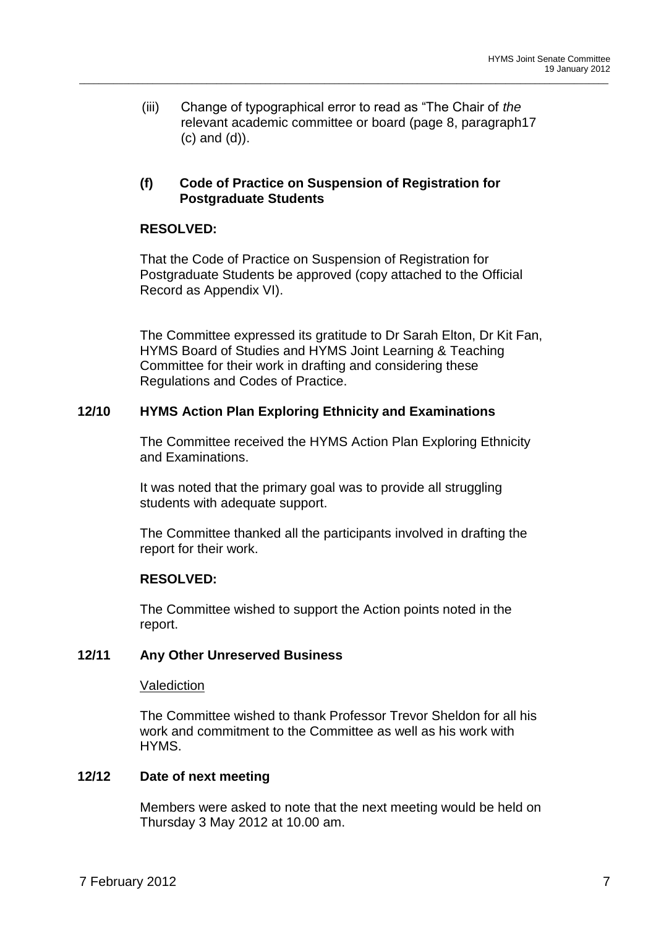(iii) Change of typographical error to read as "The Chair of *the*  relevant academic committee or board (page 8, paragraph17 (c) and (d)).

\_\_\_\_\_\_\_\_\_\_\_\_\_\_\_\_\_\_\_\_\_\_\_\_\_\_\_\_\_\_\_\_\_\_\_\_\_\_\_\_\_\_\_\_\_\_\_\_\_\_\_\_\_\_\_\_\_\_\_\_\_\_\_\_\_\_\_\_\_\_\_\_\_\_\_\_\_\_\_\_\_\_\_\_\_\_\_\_\_\_\_\_\_\_\_\_\_\_\_\_\_\_\_\_\_\_\_\_

# **(f) Code of Practice on Suspension of Registration for Postgraduate Students**

# **RESOLVED:**

That the Code of Practice on Suspension of Registration for Postgraduate Students be approved (copy attached to the Official Record as Appendix VI).

The Committee expressed its gratitude to Dr Sarah Elton, Dr Kit Fan, HYMS Board of Studies and HYMS Joint Learning & Teaching Committee for their work in drafting and considering these Regulations and Codes of Practice.

# **12/10 HYMS Action Plan Exploring Ethnicity and Examinations**

The Committee received the HYMS Action Plan Exploring Ethnicity and Examinations.

It was noted that the primary goal was to provide all struggling students with adequate support.

The Committee thanked all the participants involved in drafting the report for their work.

# **RESOLVED:**

The Committee wished to support the Action points noted in the report.

# **12/11 Any Other Unreserved Business**

# Valediction

The Committee wished to thank Professor Trevor Sheldon for all his work and commitment to the Committee as well as his work with HYMS.

# **12/12 Date of next meeting**

Members were asked to note that the next meeting would be held on Thursday 3 May 2012 at 10.00 am.